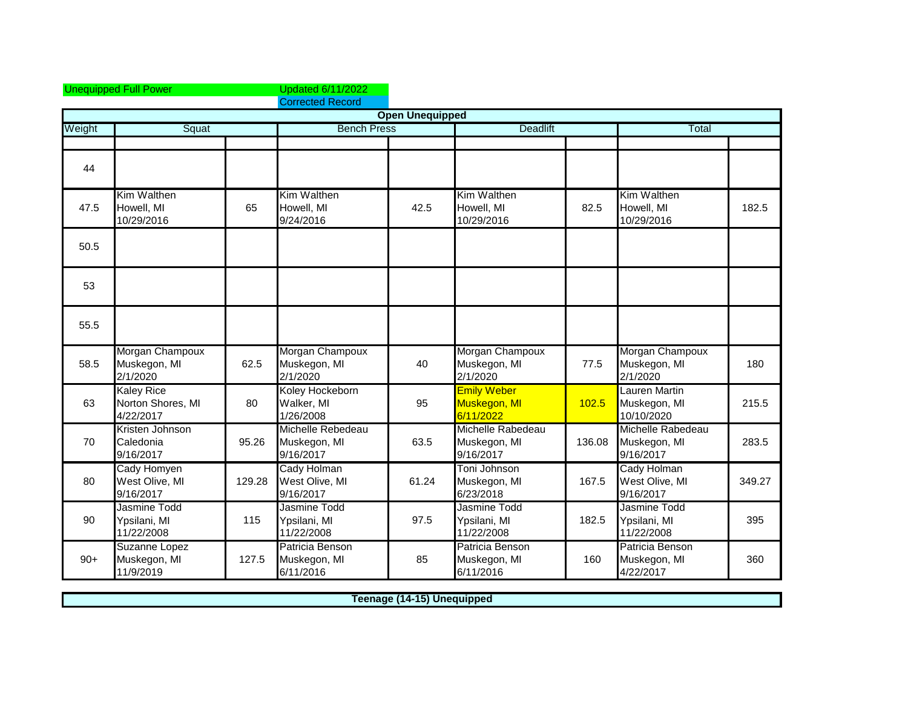|        | <b>Unequipped Full Power</b>                        |        | <b>Updated 6/11/2022</b><br><b>Corrected Record</b> |                        |                                                 |        |                                                |        |
|--------|-----------------------------------------------------|--------|-----------------------------------------------------|------------------------|-------------------------------------------------|--------|------------------------------------------------|--------|
|        |                                                     |        |                                                     | <b>Open Unequipped</b> |                                                 |        |                                                |        |
| Weight | Squat                                               |        | <b>Bench Press</b>                                  |                        | <b>Deadlift</b>                                 |        | Total                                          |        |
|        |                                                     |        |                                                     |                        |                                                 |        |                                                |        |
| 44     |                                                     |        |                                                     |                        |                                                 |        |                                                |        |
| 47.5   | Kim Walthen<br>Howell, MI<br>10/29/2016             | 65     | Kim Walthen<br>Howell, MI<br>9/24/2016              | 42.5                   | Kim Walthen<br>Howell, MI<br>10/29/2016         | 82.5   | Kim Walthen<br>Howell, MI<br>10/29/2016        | 182.5  |
| 50.5   |                                                     |        |                                                     |                        |                                                 |        |                                                |        |
| 53     |                                                     |        |                                                     |                        |                                                 |        |                                                |        |
| 55.5   |                                                     |        |                                                     |                        |                                                 |        |                                                |        |
| 58.5   | Morgan Champoux<br>Muskegon, MI<br>2/1/2020         | 62.5   | Morgan Champoux<br>Muskegon, MI<br>2/1/2020         | 40                     | Morgan Champoux<br>Muskegon, MI<br>2/1/2020     | 77.5   | Morgan Champoux<br>Muskegon, MI<br>2/1/2020    | 180    |
| 63     | <b>Kaley Rice</b><br>Norton Shores, MI<br>4/22/2017 | 80     | Koley Hockeborn<br>Walker, MI<br>1/26/2008          | 95                     | <b>Emily Weber</b><br>Muskegon, MI<br>6/11/2022 | 102.5  | Lauren Martin<br>Muskegon, MI<br>10/10/2020    | 215.5  |
| 70     | Kristen Johnson<br>Caledonia<br>9/16/2017           | 95.26  | Michelle Rebedeau<br>Muskegon, MI<br>9/16/2017      | 63.5                   | Michelle Rabedeau<br>Muskegon, MI<br>9/16/2017  | 136.08 | Michelle Rabedeau<br>Muskegon, MI<br>9/16/2017 | 283.5  |
| 80     | Cady Homyen<br>West Olive, MI<br>9/16/2017          | 129.28 | Cady Holman<br>West Olive, MI<br>9/16/2017          | 61.24                  | Toni Johnson<br>Muskegon, MI<br>6/23/2018       | 167.5  | Cady Holman<br>West Olive, MI<br>9/16/2017     | 349.27 |
| 90     | Jasmine Todd<br>Ypsilani, MI<br>11/22/2008          | 115    | Jasmine Todd<br>Ypsilani, MI<br>11/22/2008          | 97.5                   | Jasmine Todd<br>Ypsilani, MI<br>11/22/2008      | 182.5  | Jasmine Todd<br>Ypsilani, MI<br>11/22/2008     | 395    |
| $90+$  | Suzanne Lopez<br>Muskegon, MI<br>11/9/2019          | 127.5  | Patricia Benson<br>Muskegon, MI<br>6/11/2016        | 85                     | Patricia Benson<br>Muskegon, MI<br>6/11/2016    | 160    | Patricia Benson<br>Muskegon, MI<br>4/22/2017   | 360    |

**Teenage (14-15) Unequipped**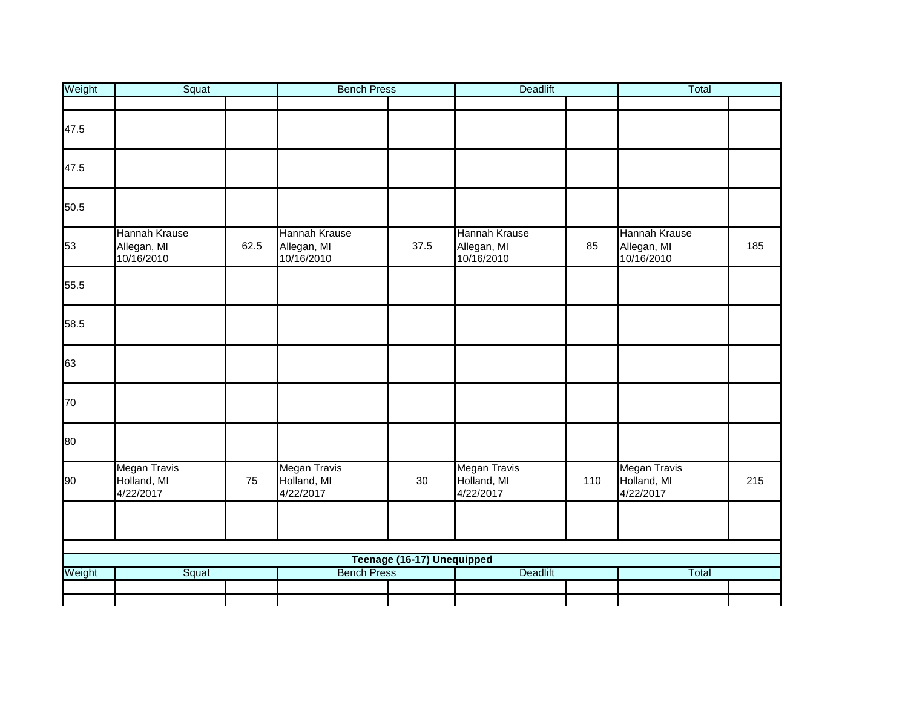| Weight | Squat                                      |      | <b>Bench Press</b>                         |                            | <b>Deadlift</b>                            |     | Total                                      |     |
|--------|--------------------------------------------|------|--------------------------------------------|----------------------------|--------------------------------------------|-----|--------------------------------------------|-----|
|        |                                            |      |                                            |                            |                                            |     |                                            |     |
| 47.5   |                                            |      |                                            |                            |                                            |     |                                            |     |
| 47.5   |                                            |      |                                            |                            |                                            |     |                                            |     |
| 50.5   |                                            |      |                                            |                            |                                            |     |                                            |     |
| 53     | Hannah Krause<br>Allegan, MI<br>10/16/2010 | 62.5 | Hannah Krause<br>Allegan, MI<br>10/16/2010 | 37.5                       | Hannah Krause<br>Allegan, MI<br>10/16/2010 | 85  | Hannah Krause<br>Allegan, MI<br>10/16/2010 | 185 |
| 55.5   |                                            |      |                                            |                            |                                            |     |                                            |     |
| 58.5   |                                            |      |                                            |                            |                                            |     |                                            |     |
| 63     |                                            |      |                                            |                            |                                            |     |                                            |     |
| 70     |                                            |      |                                            |                            |                                            |     |                                            |     |
| 80     |                                            |      |                                            |                            |                                            |     |                                            |     |
| 90     | Megan Travis<br>Holland, MI<br>4/22/2017   | 75   | Megan Travis<br>Holland, MI<br>4/22/2017   | 30                         | Megan Travis<br>Holland, MI<br>4/22/2017   | 110 | Megan Travis<br>Holland, MI<br>4/22/2017   | 215 |
|        |                                            |      |                                            |                            |                                            |     |                                            |     |
|        |                                            |      |                                            |                            |                                            |     |                                            |     |
| Weight |                                            |      | <b>Bench Press</b>                         | Teenage (16-17) Unequipped |                                            |     |                                            |     |
|        | Squat                                      |      |                                            |                            | <b>Deadlift</b>                            |     | Total                                      |     |
|        |                                            |      |                                            |                            |                                            |     |                                            |     |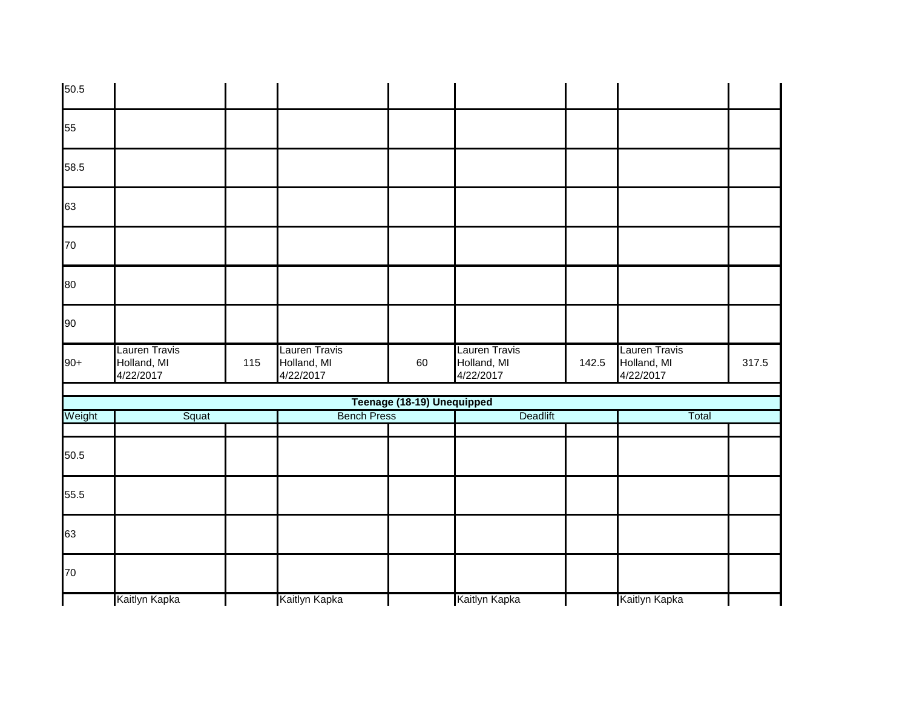| 50.5   |                                           |     |                                           |                            |                                           |       |                                           |       |
|--------|-------------------------------------------|-----|-------------------------------------------|----------------------------|-------------------------------------------|-------|-------------------------------------------|-------|
| 55     |                                           |     |                                           |                            |                                           |       |                                           |       |
| 58.5   |                                           |     |                                           |                            |                                           |       |                                           |       |
| 63     |                                           |     |                                           |                            |                                           |       |                                           |       |
| 70     |                                           |     |                                           |                            |                                           |       |                                           |       |
| 80     |                                           |     |                                           |                            |                                           |       |                                           |       |
| 90     |                                           |     |                                           |                            |                                           |       |                                           |       |
| $90+$  | Lauren Travis<br>Holland, MI<br>4/22/2017 | 115 | Lauren Travis<br>Holland, MI<br>4/22/2017 | 60                         | Lauren Travis<br>Holland, MI<br>4/22/2017 | 142.5 | Lauren Travis<br>Holland, MI<br>4/22/2017 | 317.5 |
|        |                                           |     |                                           | Teenage (18-19) Unequipped |                                           |       |                                           |       |
| Weight | Squat                                     |     | <b>Bench Press</b>                        |                            | Deadlift                                  |       | Total                                     |       |
| 50.5   |                                           |     |                                           |                            |                                           |       |                                           |       |
| 55.5   |                                           |     |                                           |                            |                                           |       |                                           |       |
| 63     |                                           |     |                                           |                            |                                           |       |                                           |       |
| 70     |                                           |     |                                           |                            |                                           |       |                                           |       |
|        | Kaitlyn Kapka                             |     | Kaitlyn Kapka                             |                            | Kaitlyn Kapka                             |       | Kaitlyn Kapka                             |       |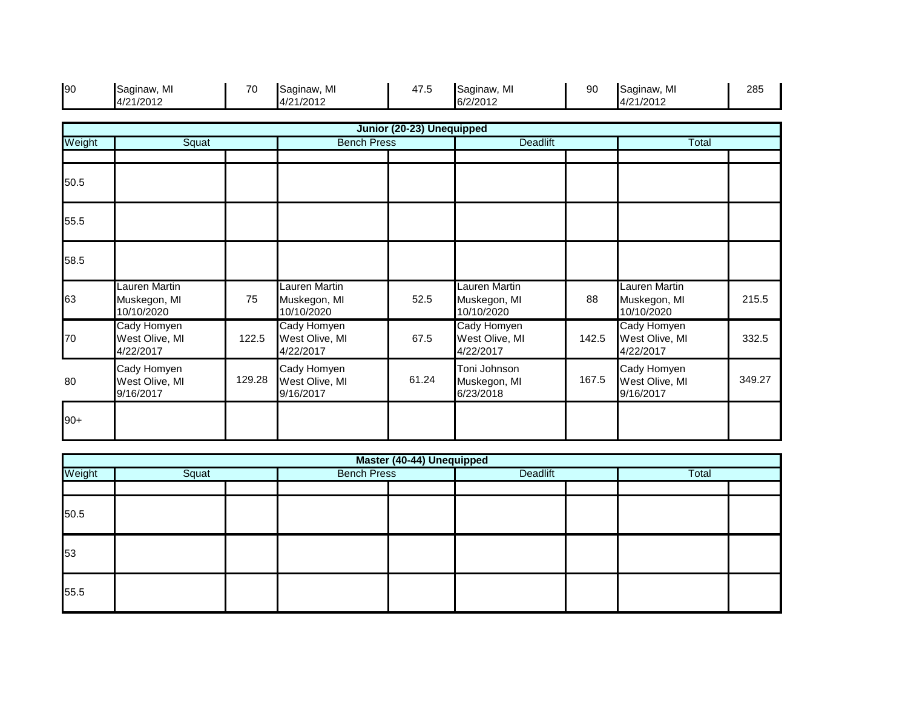| 90     | Saginaw, MI<br>4/21/2012                    | 70     | Saginaw, MI<br>4/21/2012                    | 47.5                      | Saginaw, MI<br>6/2/2012                     | 90    | Saginaw, MI<br>4/21/2012                    | 285    |
|--------|---------------------------------------------|--------|---------------------------------------------|---------------------------|---------------------------------------------|-------|---------------------------------------------|--------|
|        |                                             |        |                                             | Junior (20-23) Unequipped |                                             |       |                                             |        |
| Weight | Squat                                       |        | <b>Bench Press</b>                          |                           | <b>Deadlift</b>                             |       | Total                                       |        |
| 50.5   |                                             |        |                                             |                           |                                             |       |                                             |        |
| 55.5   |                                             |        |                                             |                           |                                             |       |                                             |        |
| 58.5   |                                             |        |                                             |                           |                                             |       |                                             |        |
| 63     | Lauren Martin<br>Muskegon, MI<br>10/10/2020 | 75     | Lauren Martin<br>Muskegon, MI<br>10/10/2020 | 52.5                      | Lauren Martin<br>Muskegon, MI<br>10/10/2020 | 88    | Lauren Martin<br>Muskegon, MI<br>10/10/2020 | 215.5  |
| 70     | Cady Homyen<br>West Olive, MI<br>4/22/2017  | 122.5  | Cady Homyen<br>West Olive, MI<br>4/22/2017  | 67.5                      | Cady Homyen<br>West Olive, MI<br>4/22/2017  | 142.5 | Cady Homyen<br>West Olive, MI<br>4/22/2017  | 332.5  |
| 80     | Cady Homyen<br>West Olive, MI<br>9/16/2017  | 129.28 | Cady Homyen<br>West Olive, MI<br>9/16/2017  | 61.24                     | Toni Johnson<br>Muskegon, MI<br>6/23/2018   | 167.5 | Cady Homyen<br>West Olive, MI<br>9/16/2017  | 349.27 |
| $90+$  |                                             |        |                                             |                           |                                             |       |                                             |        |

|        | Master (40-44) Unequipped |  |                    |  |          |  |       |  |  |  |  |  |
|--------|---------------------------|--|--------------------|--|----------|--|-------|--|--|--|--|--|
| Weight | Squat                     |  | <b>Bench Press</b> |  | Deadlift |  | Total |  |  |  |  |  |
|        |                           |  |                    |  |          |  |       |  |  |  |  |  |
| 50.5   |                           |  |                    |  |          |  |       |  |  |  |  |  |
| 53     |                           |  |                    |  |          |  |       |  |  |  |  |  |
| 55.5   |                           |  |                    |  |          |  |       |  |  |  |  |  |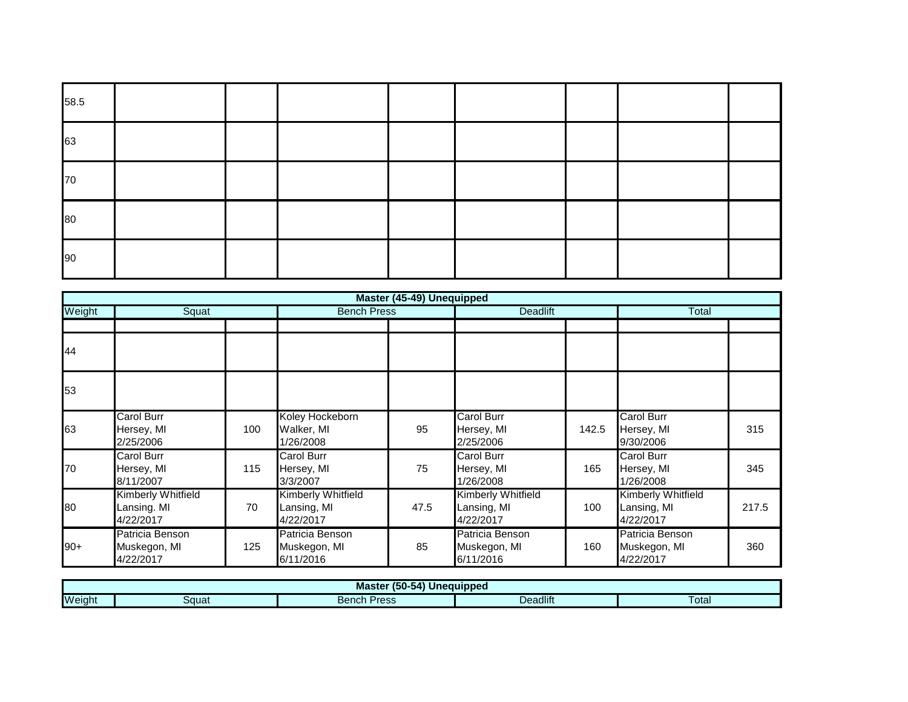| 58.5 |  |  |  |  |
|------|--|--|--|--|
| 63   |  |  |  |  |
| 70   |  |  |  |  |
| 80   |  |  |  |  |
| 90   |  |  |  |  |

|        |                                                |     |                                                | Master (45-49) Unequipped |                                                |       |                                                |       |
|--------|------------------------------------------------|-----|------------------------------------------------|---------------------------|------------------------------------------------|-------|------------------------------------------------|-------|
| Weight | Squat                                          |     | <b>Bench Press</b>                             |                           | <b>Deadlift</b>                                |       | Total                                          |       |
|        |                                                |     |                                                |                           |                                                |       |                                                |       |
| 44     |                                                |     |                                                |                           |                                                |       |                                                |       |
| 53     |                                                |     |                                                |                           |                                                |       |                                                |       |
| 63     | Carol Burr<br>Hersey, MI<br>2/25/2006          | 100 | Koley Hockeborn<br>Walker, MI<br>1/26/2008     | 95                        | <b>Carol Burr</b><br>Hersey, MI<br>2/25/2006   | 142.5 | <b>Carol Burr</b><br>Hersey, MI<br>9/30/2006   | 315   |
| 70     | Carol Burr<br>Hersey, MI<br>8/11/2007          | 115 | Carol Burr<br>Hersey, MI<br>3/3/2007           | 75                        | Carol Burr<br>Hersey, MI<br>1/26/2008          | 165   | Carol Burr<br>Hersey, MI<br>1/26/2008          | 345   |
| 80     | Kimberly Whitfield<br>Lansing. MI<br>4/22/2017 | 70  | Kimberly Whitfield<br>Lansing, MI<br>4/22/2017 | 47.5                      | Kimberly Whitfield<br>Lansing, MI<br>4/22/2017 | 100   | Kimberly Whitfield<br>Lansing, MI<br>4/22/2017 | 217.5 |
| $90+$  | Patricia Benson<br>Muskegon, MI<br>4/22/2017   | 125 | Patricia Benson<br>Muskegon, MI<br>6/11/2016   | 85                        | Patricia Benson<br>Muskegon, MI<br>6/11/2016   | 160   | Patricia Benson<br>Muskegon, MI<br>4/22/2017   | 360   |

|        | .<br>(50-54<br><b>Unequipped</b><br>Master |                                    |          |       |  |  |  |  |  |
|--------|--------------------------------------------|------------------------------------|----------|-------|--|--|--|--|--|
| Weight | Squat                                      | Droce<br>Ranch<br>ווטווסכ<br>၊ င၁၁ | Deadlift | Total |  |  |  |  |  |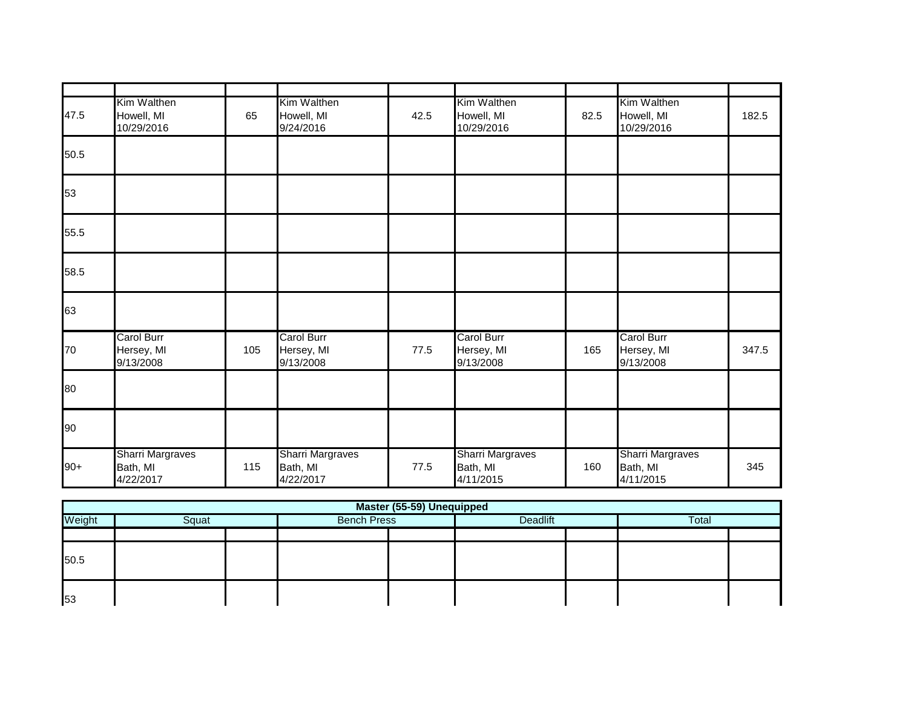| 47.5  | Kim Walthen<br>Howell, MI<br>10/29/2016          | 65  | Kim Walthen<br>Howell, MI<br>9/24/2016    | 42.5 | Kim Walthen<br>Howell, MI<br>10/29/2016   | 82.5 | Kim Walthen<br>Howell, MI<br>10/29/2016          | 182.5 |
|-------|--------------------------------------------------|-----|-------------------------------------------|------|-------------------------------------------|------|--------------------------------------------------|-------|
| 50.5  |                                                  |     |                                           |      |                                           |      |                                                  |       |
| 53    |                                                  |     |                                           |      |                                           |      |                                                  |       |
| 55.5  |                                                  |     |                                           |      |                                           |      |                                                  |       |
| 58.5  |                                                  |     |                                           |      |                                           |      |                                                  |       |
| 63    |                                                  |     |                                           |      |                                           |      |                                                  |       |
| 70    | Carol Burr<br>Hersey, MI<br>9/13/2008            | 105 | Carol Burr<br>Hersey, MI<br>9/13/2008     | 77.5 | Carol Burr<br>Hersey, MI<br>9/13/2008     | 165  | Carol Burr<br>Hersey, MI<br>9/13/2008            | 347.5 |
| 80    |                                                  |     |                                           |      |                                           |      |                                                  |       |
| 90    |                                                  |     |                                           |      |                                           |      |                                                  |       |
| $90+$ | <b>Sharri Margraves</b><br>Bath, MI<br>4/22/2017 | 115 | Sharri Margraves<br>Bath, MI<br>4/22/2017 | 77.5 | Sharri Margraves<br>Bath, MI<br>4/11/2015 | 160  | <b>Sharri Margraves</b><br>Bath, MI<br>4/11/2015 | 345   |

|        |       |                    |          |  | Master (55-59) Unequipped |  |  |  |  |  |  |  |  |  |  |  |  |
|--------|-------|--------------------|----------|--|---------------------------|--|--|--|--|--|--|--|--|--|--|--|--|
| Weight | Squat | <b>Bench Press</b> | Deadlift |  | <b>Total</b>              |  |  |  |  |  |  |  |  |  |  |  |  |
|        |       |                    |          |  |                           |  |  |  |  |  |  |  |  |  |  |  |  |
| 50.5   |       |                    |          |  |                           |  |  |  |  |  |  |  |  |  |  |  |  |
| 53     |       |                    |          |  |                           |  |  |  |  |  |  |  |  |  |  |  |  |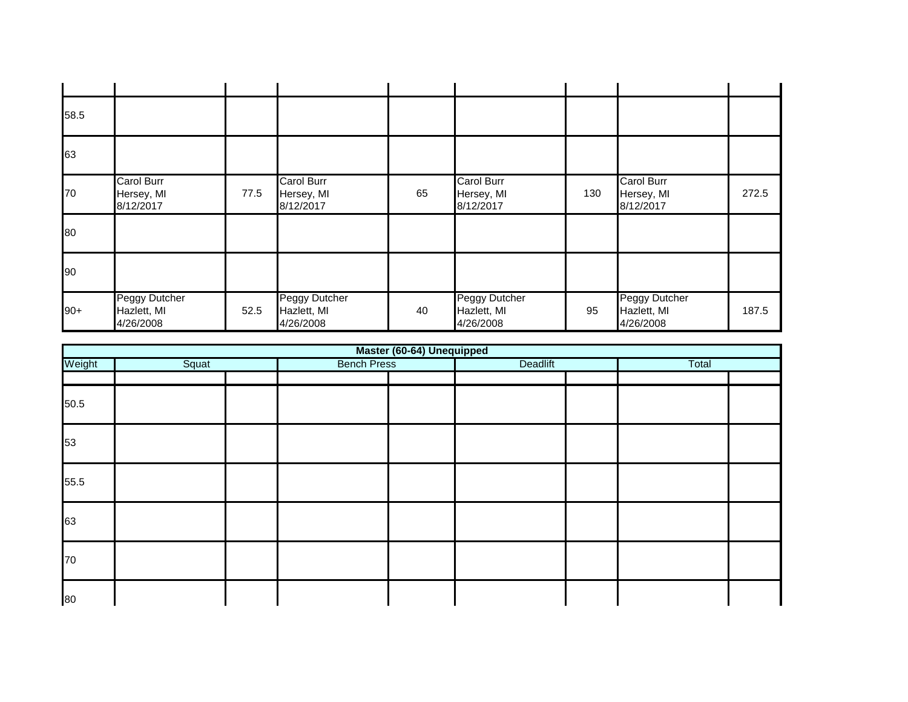| 58.5  |                                              |      |                                              |    |                                              |     |                                              |       |
|-------|----------------------------------------------|------|----------------------------------------------|----|----------------------------------------------|-----|----------------------------------------------|-------|
| 63    |                                              |      |                                              |    |                                              |     |                                              |       |
| 70    | <b>Carol Burr</b><br>Hersey, MI<br>8/12/2017 | 77.5 | <b>Carol Burr</b><br>Hersey, MI<br>8/12/2017 | 65 | <b>Carol Burr</b><br>Hersey, MI<br>8/12/2017 | 130 | <b>Carol Burr</b><br>Hersey, MI<br>8/12/2017 | 272.5 |
| 80    |                                              |      |                                              |    |                                              |     |                                              |       |
| 90    |                                              |      |                                              |    |                                              |     |                                              |       |
| $90+$ | Peggy Dutcher<br>Hazlett, MI<br>4/26/2008    | 52.5 | Peggy Dutcher<br>Hazlett, MI<br>4/26/2008    | 40 | Peggy Dutcher<br>Hazlett, MI<br>4/26/2008    | 95  | Peggy Dutcher<br>Hazlett, MI<br>4/26/2008    | 187.5 |

|        |       |                    | Master (60-64) Unequipped |          |       |  |
|--------|-------|--------------------|---------------------------|----------|-------|--|
| Weight | Squat | <b>Bench Press</b> |                           | Deadlift | Total |  |
|        |       |                    |                           |          |       |  |
| 50.5   |       |                    |                           |          |       |  |
| 53     |       |                    |                           |          |       |  |
| 55.5   |       |                    |                           |          |       |  |
| 63     |       |                    |                           |          |       |  |
| 70     |       |                    |                           |          |       |  |
| 80     |       |                    |                           |          |       |  |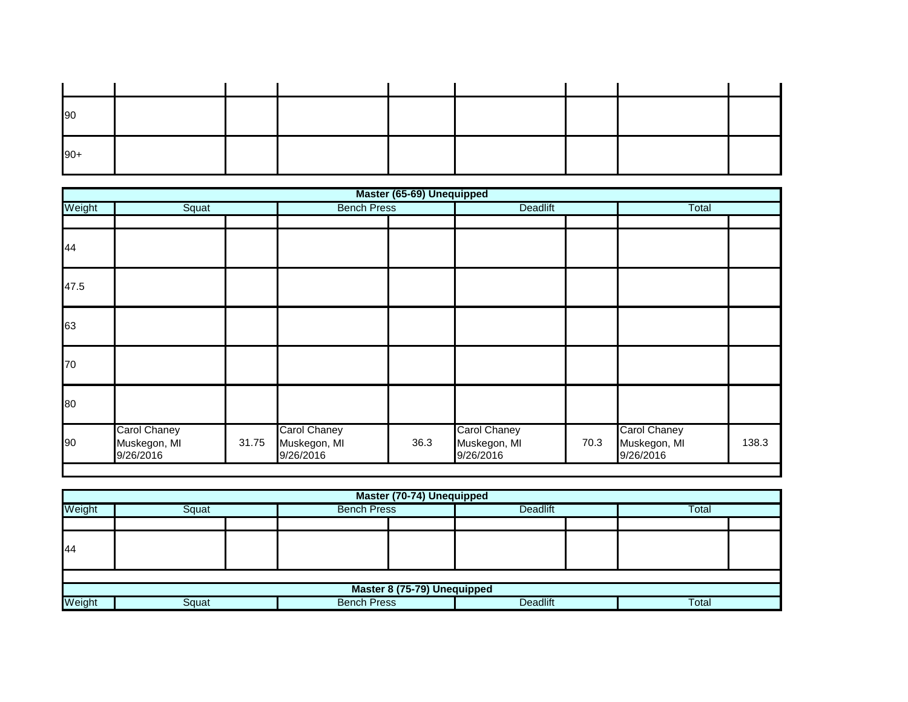| 90    |  |  |  |  |
|-------|--|--|--|--|
| $90+$ |  |  |  |  |

|        |                                           |       |                                                  | Master (65-69) Unequipped |                                                  |      |                                                  |       |
|--------|-------------------------------------------|-------|--------------------------------------------------|---------------------------|--------------------------------------------------|------|--------------------------------------------------|-------|
| Weight | Squat                                     |       | <b>Bench Press</b>                               |                           | Deadlift                                         |      | Total                                            |       |
|        |                                           |       |                                                  |                           |                                                  |      |                                                  |       |
| 44     |                                           |       |                                                  |                           |                                                  |      |                                                  |       |
| 47.5   |                                           |       |                                                  |                           |                                                  |      |                                                  |       |
| 63     |                                           |       |                                                  |                           |                                                  |      |                                                  |       |
| 70     |                                           |       |                                                  |                           |                                                  |      |                                                  |       |
| 80     |                                           |       |                                                  |                           |                                                  |      |                                                  |       |
| 90     | Carol Chaney<br>Muskegon, MI<br>9/26/2016 | 31.75 | <b>Carol Chaney</b><br>Muskegon, MI<br>9/26/2016 | 36.3                      | <b>Carol Chaney</b><br>Muskegon, MI<br>9/26/2016 | 70.3 | <b>Carol Chaney</b><br>Muskegon, MI<br>9/26/2016 | 138.3 |

|                 | Master (70-74) Unequipped   |  |                    |  |                 |  |       |  |  |  |  |
|-----------------|-----------------------------|--|--------------------|--|-----------------|--|-------|--|--|--|--|
| Weight          | Squat                       |  | <b>Bench Press</b> |  | Deadlift        |  | Total |  |  |  |  |
|                 |                             |  |                    |  |                 |  |       |  |  |  |  |
| 44              |                             |  |                    |  |                 |  |       |  |  |  |  |
|                 |                             |  |                    |  |                 |  |       |  |  |  |  |
|                 | Master 8 (75-79) Unequipped |  |                    |  |                 |  |       |  |  |  |  |
| Weight<br>Squat |                             |  | <b>Bench Press</b> |  | <b>Deadlift</b> |  | Total |  |  |  |  |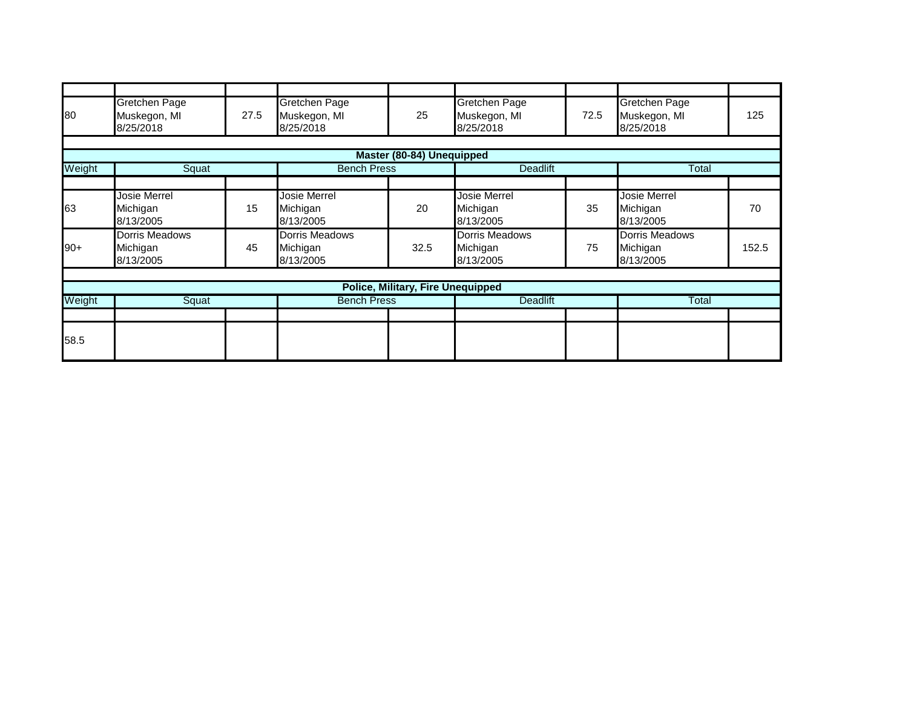| 80     | Gretchen Page<br>Muskegon, MI<br>8/25/2018 | 27.5 | Gretchen Page<br>Muskegon, MI<br>8/25/2018 | 25                                       | <b>Gretchen Page</b><br>Muskegon, MI<br>8/25/2018 | 72.5 | Gretchen Page<br>Muskegon, MI<br>8/25/2018   | 125   |
|--------|--------------------------------------------|------|--------------------------------------------|------------------------------------------|---------------------------------------------------|------|----------------------------------------------|-------|
|        |                                            |      |                                            |                                          |                                                   |      |                                              |       |
|        |                                            |      |                                            | Master (80-84) Unequipped                |                                                   |      |                                              |       |
| Weight | Squat                                      |      | <b>Bench Press</b>                         |                                          | <b>Deadlift</b>                                   |      | Total                                        |       |
|        |                                            |      |                                            |                                          |                                                   |      |                                              |       |
| 63     | Josie Merrel<br>Michigan<br>8/13/2005      | 15   | Josie Merrel<br>Michigan<br>8/13/2005      | 20                                       | <b>Josie Merrel</b><br>Michigan<br>8/13/2005      | 35   | <b>Josie Merrel</b><br>Michigan<br>8/13/2005 | 70    |
| $90+$  | Dorris Meadows<br>Michigan<br>8/13/2005    | 45   | Dorris Meadows<br>Michigan<br>8/13/2005    | 32.5                                     | <b>Dorris Meadows</b><br>Michigan<br>8/13/2005    | 75   | Dorris Meadows<br>Michigan<br>8/13/2005      | 152.5 |
|        |                                            |      |                                            |                                          |                                                   |      |                                              |       |
|        |                                            |      |                                            | <b>Police, Military, Fire Unequipped</b> |                                                   |      |                                              |       |
| Weight | Squat                                      |      | <b>Bench Press</b>                         |                                          | <b>Deadlift</b>                                   |      | <b>Total</b>                                 |       |
|        |                                            |      |                                            |                                          |                                                   |      |                                              |       |
| 58.5   |                                            |      |                                            |                                          |                                                   |      |                                              |       |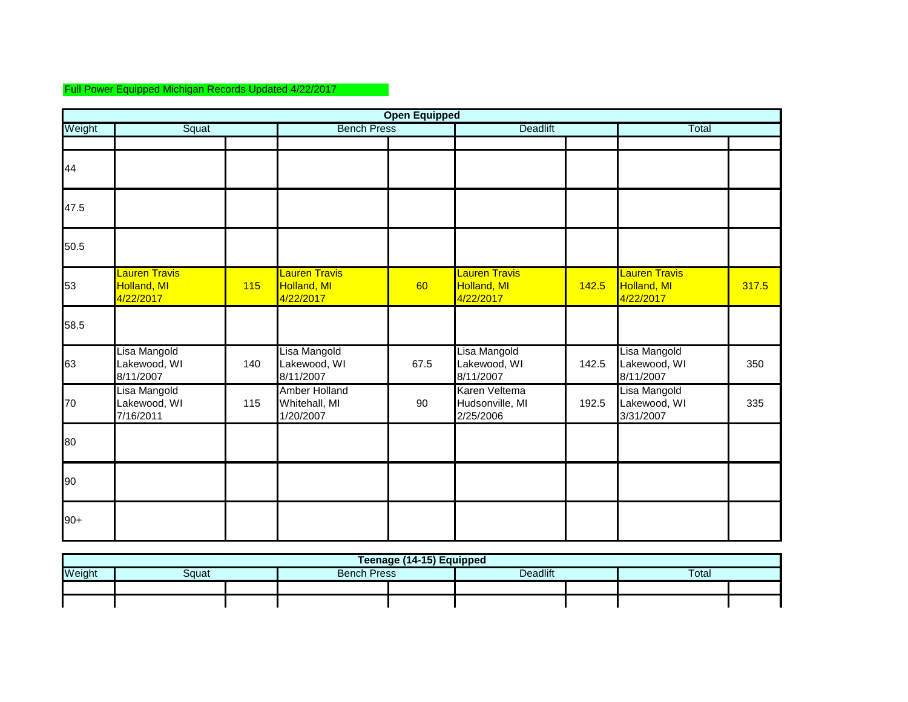## Full Power Equipped Michigan Records Updated 4/22/2017

|        | <b>Open Equipped</b>                             |     |                                                  |      |                                                  |       |                                                  |       |  |  |  |  |
|--------|--------------------------------------------------|-----|--------------------------------------------------|------|--------------------------------------------------|-------|--------------------------------------------------|-------|--|--|--|--|
| Weight | Squat                                            |     | <b>Bench Press</b>                               |      | <b>Deadlift</b>                                  |       | Total                                            |       |  |  |  |  |
| 44     |                                                  |     |                                                  |      |                                                  |       |                                                  |       |  |  |  |  |
| 47.5   |                                                  |     |                                                  |      |                                                  |       |                                                  |       |  |  |  |  |
| 50.5   |                                                  |     |                                                  |      |                                                  |       |                                                  |       |  |  |  |  |
| 53     | <b>Lauren Travis</b><br>Holland, MI<br>4/22/2017 | 115 | <b>Lauren Travis</b><br>Holland, MI<br>4/22/2017 | 60   | <b>Lauren Travis</b><br>Holland, MI<br>4/22/2017 | 142.5 | <b>Lauren Travis</b><br>Holland, MI<br>4/22/2017 | 317.5 |  |  |  |  |
| 58.5   |                                                  |     |                                                  |      |                                                  |       |                                                  |       |  |  |  |  |
| 63     | Lisa Mangold<br>Lakewood, WI<br>8/11/2007        | 140 | Lisa Mangold<br>Lakewood, WI<br>8/11/2007        | 67.5 | Lisa Mangold<br>Lakewood, WI<br>8/11/2007        | 142.5 | Lisa Mangold<br>Lakewood, WI<br>8/11/2007        | 350   |  |  |  |  |
| 70     | Lisa Mangold<br>Lakewood, WI<br>7/16/2011        | 115 | Amber Holland<br>Whitehall, MI<br>1/20/2007      | 90   | Karen Veltema<br>Hudsonville, MI<br>2/25/2006    | 192.5 | Lisa Mangold<br>Lakewood, WI<br>3/31/2007        | 335   |  |  |  |  |
| 80     |                                                  |     |                                                  |      |                                                  |       |                                                  |       |  |  |  |  |
| 90     |                                                  |     |                                                  |      |                                                  |       |                                                  |       |  |  |  |  |
| $90+$  |                                                  |     |                                                  |      |                                                  |       |                                                  |       |  |  |  |  |

| Teenage (14-15) Equipped                                   |  |  |  |  |  |  |  |  |  |  |  |
|------------------------------------------------------------|--|--|--|--|--|--|--|--|--|--|--|
| Deadlift<br>Weight<br>Total<br><b>Bench Press</b><br>}αuat |  |  |  |  |  |  |  |  |  |  |  |
|                                                            |  |  |  |  |  |  |  |  |  |  |  |
|                                                            |  |  |  |  |  |  |  |  |  |  |  |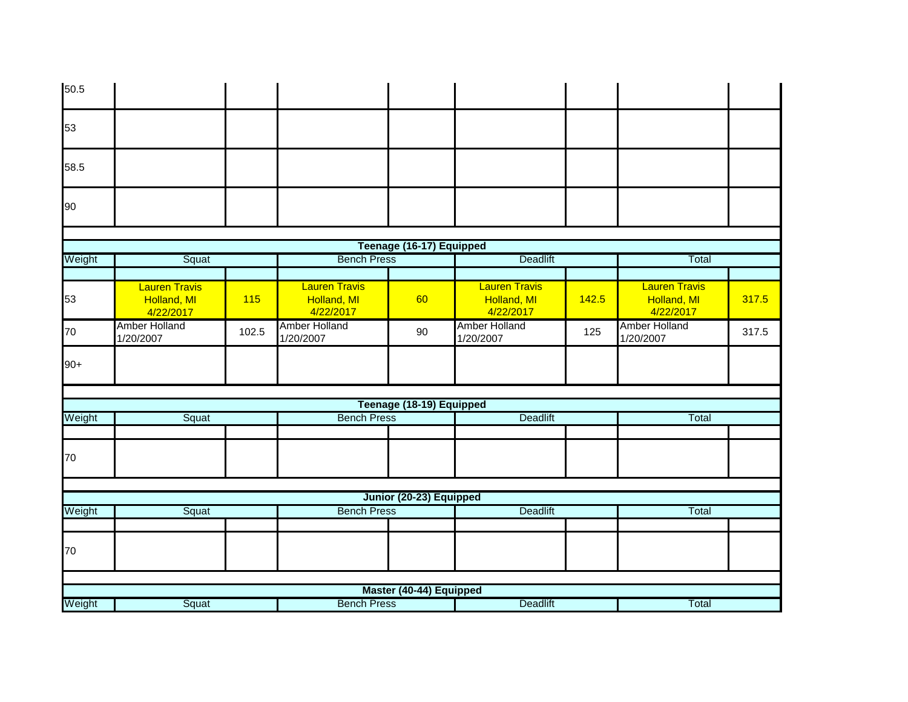| 50.5   |                                                  |       |                                                  |                          |                                                  |       |                                                  |       |
|--------|--------------------------------------------------|-------|--------------------------------------------------|--------------------------|--------------------------------------------------|-------|--------------------------------------------------|-------|
| 53     |                                                  |       |                                                  |                          |                                                  |       |                                                  |       |
| 58.5   |                                                  |       |                                                  |                          |                                                  |       |                                                  |       |
| 90     |                                                  |       |                                                  |                          |                                                  |       |                                                  |       |
|        |                                                  |       |                                                  |                          |                                                  |       |                                                  |       |
| Weight | Squat                                            |       | <b>Bench Press</b>                               | Teenage (16-17) Equipped | <b>Deadlift</b>                                  |       | Total                                            |       |
|        |                                                  |       |                                                  |                          |                                                  |       |                                                  |       |
| 53     | <b>Lauren Travis</b><br>Holland, MI<br>4/22/2017 | 115   | <b>Lauren Travis</b><br>Holland, MI<br>4/22/2017 | 60                       | <b>Lauren Travis</b><br>Holland, MI<br>4/22/2017 | 142.5 | <b>Lauren Travis</b><br>Holland, MI<br>4/22/2017 | 317.5 |
| 70     | Amber Holland<br>1/20/2007                       | 102.5 | <b>Amber Holland</b><br>1/20/2007                | 90                       | <b>Amber Holland</b><br>1/20/2007                | 125   | Amber Holland<br>1/20/2007                       | 317.5 |
| $90+$  |                                                  |       |                                                  |                          |                                                  |       |                                                  |       |
|        |                                                  |       |                                                  |                          |                                                  |       |                                                  |       |
|        |                                                  |       |                                                  | Teenage (18-19) Equipped |                                                  |       |                                                  |       |
| Weight | Squat                                            |       | <b>Bench Press</b>                               |                          | <b>Deadlift</b>                                  |       | Total                                            |       |
| 70     |                                                  |       |                                                  |                          |                                                  |       |                                                  |       |
|        |                                                  |       |                                                  | Junior (20-23) Equipped  |                                                  |       |                                                  |       |
| Weight | Squat                                            |       | <b>Bench Press</b>                               |                          | <b>Deadlift</b>                                  |       | Total                                            |       |
|        |                                                  |       |                                                  |                          |                                                  |       |                                                  |       |
| 70     |                                                  |       |                                                  |                          |                                                  |       |                                                  |       |
|        |                                                  |       |                                                  |                          |                                                  |       |                                                  |       |
|        |                                                  |       |                                                  | Master (40-44) Equipped  | Deadlift                                         |       | Total                                            |       |
| Weight | Squat                                            |       | <b>Bench Press</b>                               |                          |                                                  |       |                                                  |       |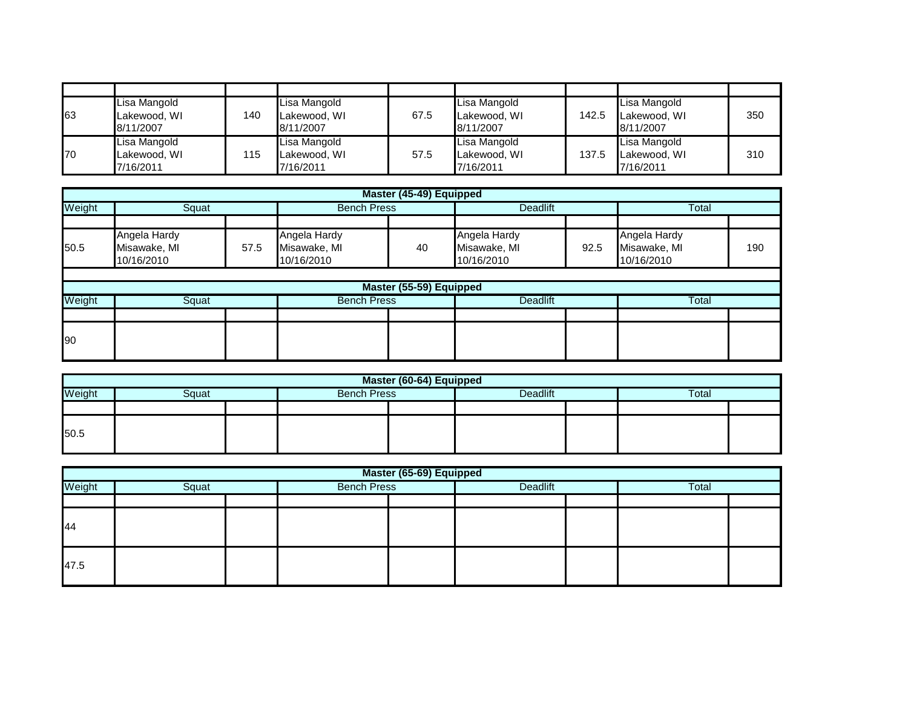| 63 | Lisa Mangold<br>Lakewood, WI<br>8/11/2007 | 140 | Lisa Mangold<br>Lakewood, WI<br>8/11/2007 | 67.5 | Lisa Mangold<br>Lakewood, WI<br>8/11/2007 | 142.5 | Lisa Mangold<br>Lakewood, WI<br>8/11/2007 | 350 |
|----|-------------------------------------------|-----|-------------------------------------------|------|-------------------------------------------|-------|-------------------------------------------|-----|
| 70 | Lisa Mangold<br>Lakewood, WI<br>7/16/2011 | 115 | Lisa Mangold<br>Lakewood, WI<br>7/16/2011 | 57.5 | Lisa Mangold<br>Lakewood, WI<br>7/16/2011 | 137.5 | Lisa Mangold<br>Lakewood, WI<br>7/16/2011 | 310 |

|             |                                            |      |                                            | Master (45-49) Equipped |                                            |      |                                            |     |  |
|-------------|--------------------------------------------|------|--------------------------------------------|-------------------------|--------------------------------------------|------|--------------------------------------------|-----|--|
| Weight      | Squat                                      |      | <b>Bench Press</b>                         |                         | <b>Deadlift</b>                            |      | Total                                      |     |  |
|             |                                            |      |                                            |                         |                                            |      |                                            |     |  |
| 50.5        | Angela Hardy<br>Misawake, MI<br>10/16/2010 | 57.5 | Angela Hardy<br>Misawake, MI<br>10/16/2010 | 40                      | Angela Hardy<br>Misawake, MI<br>10/16/2010 | 92.5 | Angela Hardy<br>Misawake, MI<br>10/16/2010 | 190 |  |
|             |                                            |      |                                            |                         |                                            |      |                                            |     |  |
|             |                                            |      |                                            | Master (55-59) Equipped |                                            |      |                                            |     |  |
| Weight      | Squat                                      |      | <b>Bench Press</b>                         |                         | <b>Deadlift</b>                            |      | Total                                      |     |  |
|             |                                            |      |                                            |                         |                                            |      |                                            |     |  |
| <b>1</b> 90 |                                            |      |                                            |                         |                                            |      |                                            |     |  |

|        | Master (60-64) Equipped |  |                    |  |                 |  |       |  |  |  |  |
|--------|-------------------------|--|--------------------|--|-----------------|--|-------|--|--|--|--|
| Weight | Squat                   |  | <b>Bench Press</b> |  | <b>Deadlift</b> |  | Total |  |  |  |  |
|        |                         |  |                    |  |                 |  |       |  |  |  |  |
| 50.5   |                         |  |                    |  |                 |  |       |  |  |  |  |

|        | Master (65-69) Equipped |  |                    |  |          |  |       |  |  |  |  |
|--------|-------------------------|--|--------------------|--|----------|--|-------|--|--|--|--|
| Weight | Squat                   |  | <b>Bench Press</b> |  | Deadlift |  | Total |  |  |  |  |
|        |                         |  |                    |  |          |  |       |  |  |  |  |
| 44     |                         |  |                    |  |          |  |       |  |  |  |  |
| 47.5   |                         |  |                    |  |          |  |       |  |  |  |  |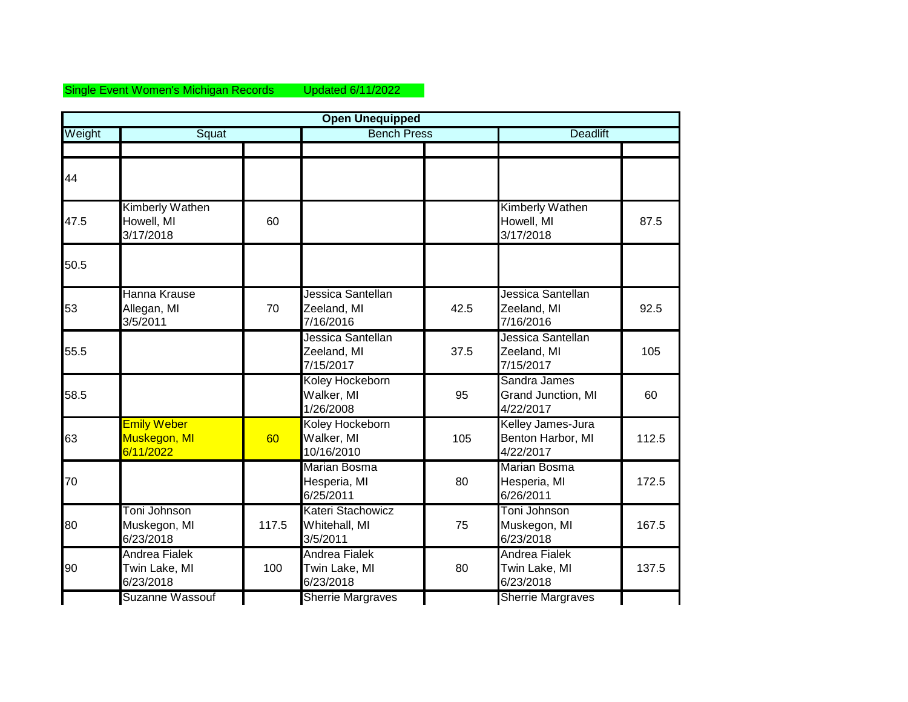## Single Event Women's Michigan Records Updated 6/11/2022

|        |                                                    |       | <b>Open Unequipped</b>                             |      |                                                     |       |
|--------|----------------------------------------------------|-------|----------------------------------------------------|------|-----------------------------------------------------|-------|
| Weight | Squat                                              |       | <b>Bench Press</b>                                 |      | <b>Deadlift</b>                                     |       |
| 44     |                                                    |       |                                                    |      |                                                     |       |
| 47.5   | Kimberly Wathen<br>Howell, MI<br>3/17/2018         | 60    |                                                    |      | <b>Kimberly Wathen</b><br>Howell, MI<br>3/17/2018   | 87.5  |
| 50.5   |                                                    |       |                                                    |      |                                                     |       |
| 53     | Hanna Krause<br>Allegan, MI<br>3/5/2011            | 70    | Jessica Santellan<br>Zeeland, MI<br>7/16/2016      | 42.5 | Jessica Santellan<br>Zeeland, MI<br>7/16/2016       | 92.5  |
| 55.5   |                                                    |       | Jessica Santellan<br>Zeeland, MI<br>7/15/2017      | 37.5 | Jessica Santellan<br>Zeeland, MI<br>7/15/2017       | 105   |
| 58.5   |                                                    |       | Koley Hockeborn<br>Walker, MI<br>1/26/2008         | 95   | Sandra James<br>Grand Junction, MI<br>4/22/2017     | 60    |
| 63     | <b>Emily Weber</b><br>Muskegon, MI<br>6/11/2022    | 60    | Koley Hockeborn<br>Walker, MI<br>10/16/2010        | 105  | Kelley James-Jura<br>Benton Harbor, MI<br>4/22/2017 | 112.5 |
| 70     |                                                    |       | <b>Marian Bosma</b><br>Hesperia, MI<br>6/25/2011   | 80   | <b>Marian Bosma</b><br>Hesperia, MI<br>6/26/2011    | 172.5 |
| 80     | Toni Johnson<br>Muskegon, MI<br>6/23/2018          | 117.5 | Kateri Stachowicz<br>Whitehall, MI<br>3/5/2011     | 75   | Toni Johnson<br>Muskegon, MI<br>6/23/2018           | 167.5 |
| 90     | <b>Andrea Fialek</b><br>Twin Lake, MI<br>6/23/2018 | 100   | <b>Andrea Fialek</b><br>Twin Lake, MI<br>6/23/2018 | 80   | Andrea Fialek<br>Twin Lake, MI<br>6/23/2018         | 137.5 |
|        | <b>Suzanne Wassouf</b>                             |       | <b>Sherrie Margraves</b>                           |      | <b>Sherrie Margraves</b>                            |       |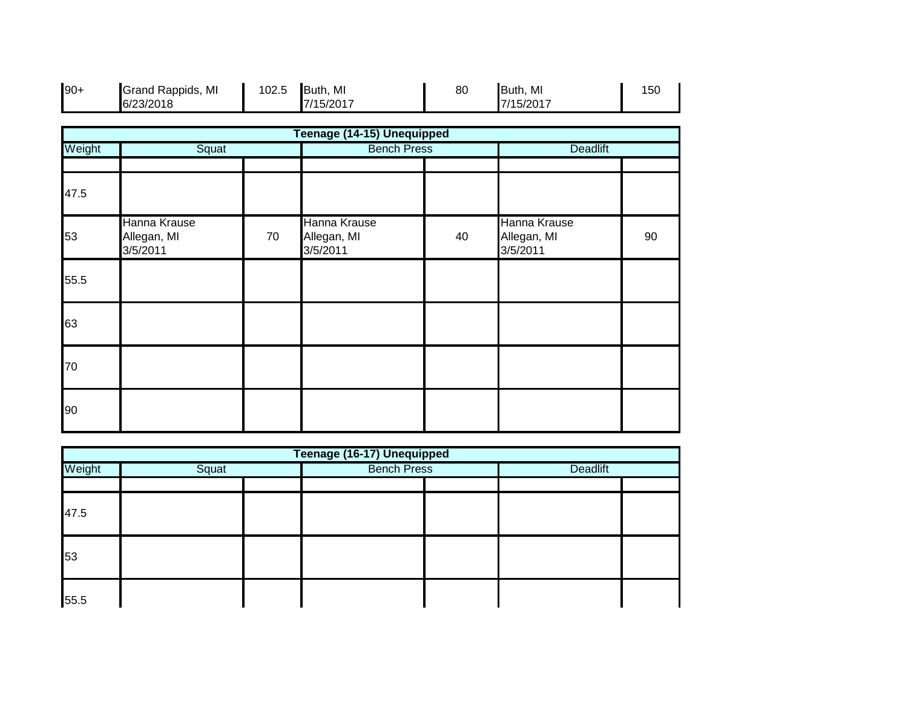| $90+$  | Grand Rappids, MI<br>6/23/2018          | 102.5 | Buth, MI<br>7/15/2017                   | 80 | Buth, MI<br>7/15/2017                   | 150 |
|--------|-----------------------------------------|-------|-----------------------------------------|----|-----------------------------------------|-----|
|        |                                         |       | Teenage (14-15) Unequipped              |    |                                         |     |
| Weight | Squat                                   |       | <b>Bench Press</b>                      |    | <b>Deadlift</b>                         |     |
| 47.5   |                                         |       |                                         |    |                                         |     |
| 53     | Hanna Krause<br>Allegan, MI<br>3/5/2011 | 70    | Hanna Krause<br>Allegan, MI<br>3/5/2011 | 40 | Hanna Krause<br>Allegan, MI<br>3/5/2011 | 90  |
| 55.5   |                                         |       |                                         |    |                                         |     |
| 63     |                                         |       |                                         |    |                                         |     |
| 70     |                                         |       |                                         |    |                                         |     |
| 90     |                                         |       |                                         |    |                                         |     |

| Teenage (16-17) Unequipped |  |  |                    |  |                 |  |  |  |
|----------------------------|--|--|--------------------|--|-----------------|--|--|--|
| Weight<br>Squat            |  |  | <b>Bench Press</b> |  | <b>Deadlift</b> |  |  |  |
|                            |  |  |                    |  |                 |  |  |  |
| 47.5                       |  |  |                    |  |                 |  |  |  |
| 53                         |  |  |                    |  |                 |  |  |  |
| 55.5                       |  |  |                    |  |                 |  |  |  |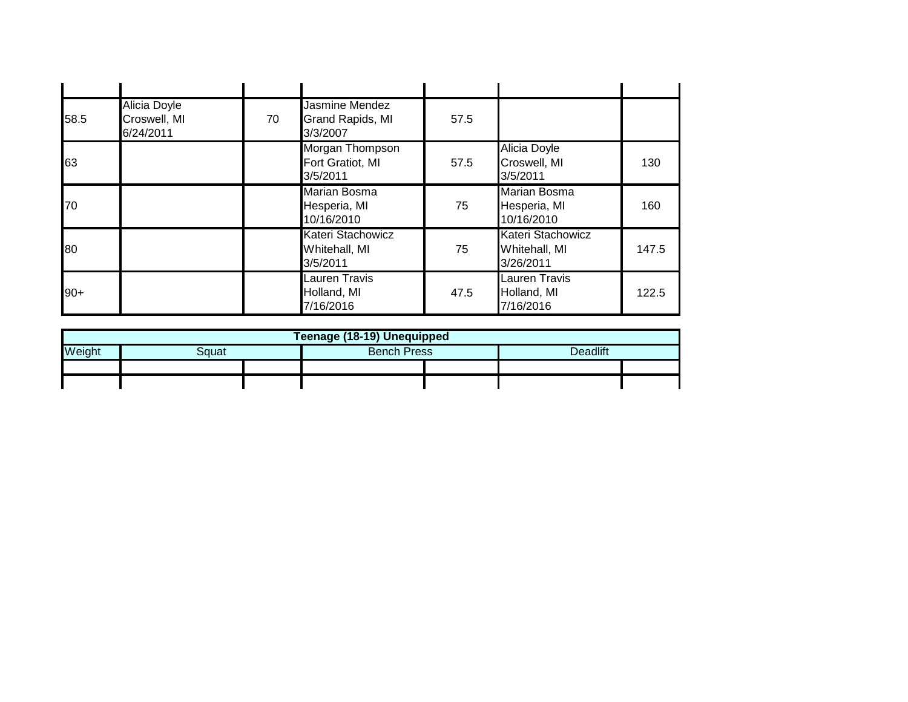| 58.5  | <b>Alicia Doyle</b><br>Croswell, MI<br>6/24/2011 | 70 | Jasmine Mendez<br>Grand Rapids, MI<br>3/3/2007    | 57.5 |                                                   |       |
|-------|--------------------------------------------------|----|---------------------------------------------------|------|---------------------------------------------------|-------|
| 63    |                                                  |    | Morgan Thompson<br>Fort Gratiot, MI<br>3/5/2011   | 57.5 | <b>Alicia Doyle</b><br>Croswell, MI<br>3/5/2011   | 130   |
| 70    |                                                  |    | <b>Marian Bosma</b><br>Hesperia, MI<br>10/16/2010 | 75   | <b>Marian Bosma</b><br>Hesperia, MI<br>10/16/2010 | 160   |
| 80    |                                                  |    | Kateri Stachowicz<br>Whitehall, MI<br>3/5/2011    | 75   | Kateri Stachowicz<br>Whitehall, MI<br>3/26/2011   | 147.5 |
| $90+$ |                                                  |    | Lauren Travis<br>Holland, MI<br>7/16/2016         | 47.5 | <b>Lauren Travis</b><br>Holland, MI<br>7/16/2016  | 122.5 |

|        | Teenage (18-19) Unequipped |  |                    |  |          |  |  |  |
|--------|----------------------------|--|--------------------|--|----------|--|--|--|
| Weight | 3quat                      |  | <b>Bench Press</b> |  | Deadlift |  |  |  |
|        |                            |  |                    |  |          |  |  |  |
|        |                            |  |                    |  |          |  |  |  |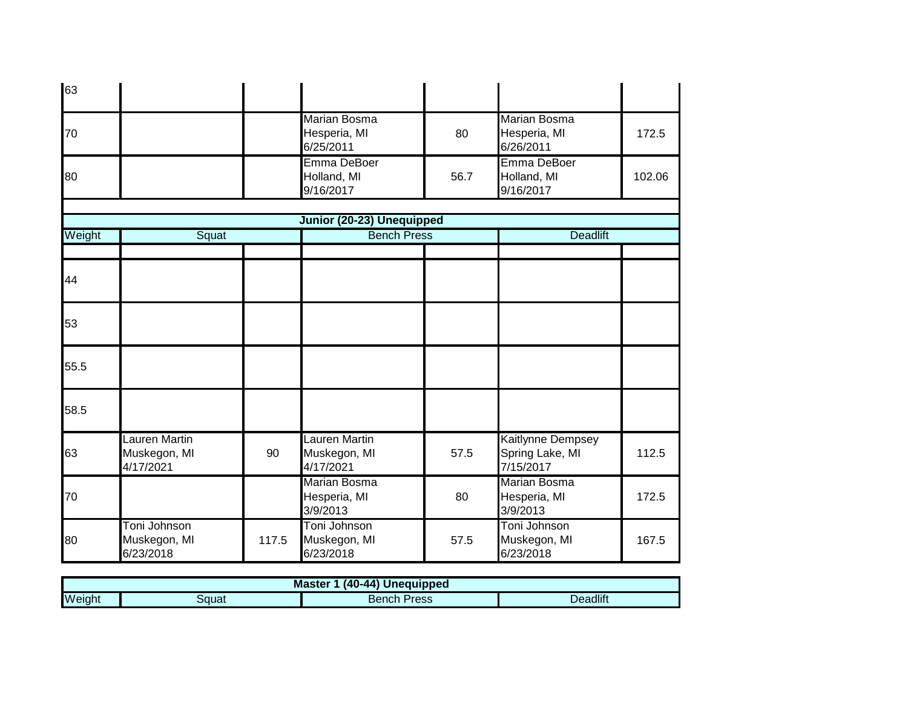| 63     |                                            |       |                                                  |      |                                                   |        |
|--------|--------------------------------------------|-------|--------------------------------------------------|------|---------------------------------------------------|--------|
| 70     |                                            |       | <b>Marian Bosma</b><br>Hesperia, MI<br>6/25/2011 | 80   | <b>Marian Bosma</b><br>Hesperia, MI<br>6/26/2011  | 172.5  |
| 80     |                                            |       | Emma DeBoer<br>Holland, MI<br>9/16/2017          | 56.7 | Emma DeBoer<br>Holland, MI<br>9/16/2017           | 102.06 |
|        |                                            |       | Junior (20-23) Unequipped                        |      |                                                   |        |
| Weight | Squat                                      |       | <b>Bench Press</b>                               |      | <b>Deadlift</b>                                   |        |
|        |                                            |       |                                                  |      |                                                   |        |
| 44     |                                            |       |                                                  |      |                                                   |        |
| 53     |                                            |       |                                                  |      |                                                   |        |
| 55.5   |                                            |       |                                                  |      |                                                   |        |
| 58.5   |                                            |       |                                                  |      |                                                   |        |
| 63     | Lauren Martin<br>Muskegon, MI<br>4/17/2021 | 90    | Lauren Martin<br>Muskegon, MI<br>4/17/2021       | 57.5 | Kaitlynne Dempsey<br>Spring Lake, MI<br>7/15/2017 | 112.5  |
| 70     |                                            |       | <b>Marian Bosma</b><br>Hesperia, MI<br>3/9/2013  | 80   | <b>Marian Bosma</b><br>Hesperia, MI<br>3/9/2013   | 172.5  |
| 80     | Toni Johnson<br>Muskegon, MI<br>6/23/2018  | 117.5 | Toni Johnson<br>Muskegon, MI<br>6/23/2018        | 57.5 | Toni Johnson<br>Muskegon, MI<br>6/23/2018         | 167.5  |

|        | (40-44) Unequipped<br><b>Master</b> |                |          |  |
|--------|-------------------------------------|----------------|----------|--|
| Weight | วตนat                               | Press<br>Bench | Deadlift |  |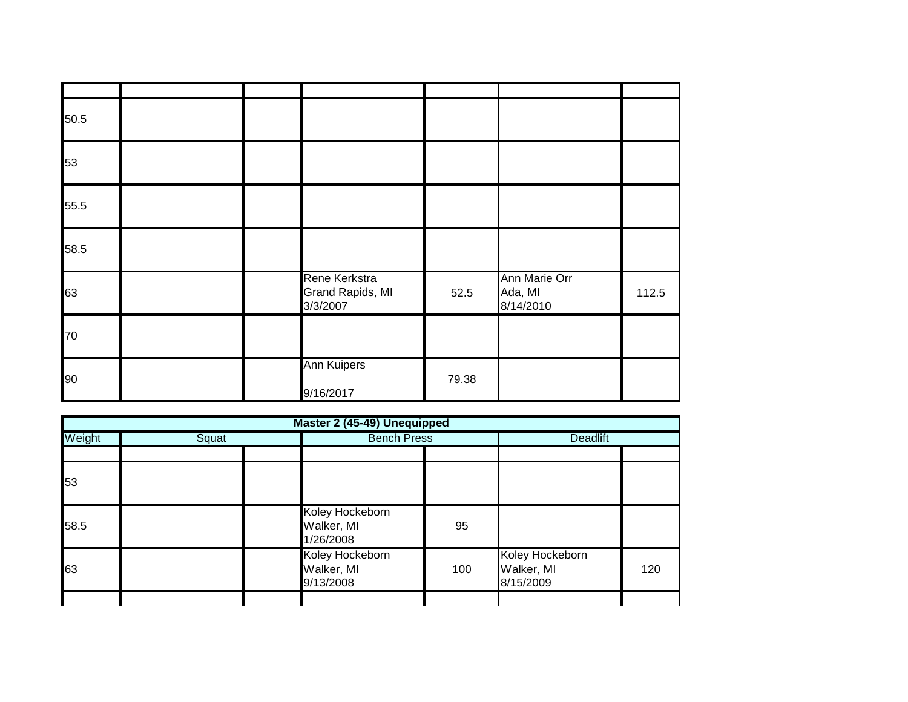| 50.5 |  |                                               |       |                                       |       |
|------|--|-----------------------------------------------|-------|---------------------------------------|-------|
| 53   |  |                                               |       |                                       |       |
| 55.5 |  |                                               |       |                                       |       |
| 58.5 |  |                                               |       |                                       |       |
| 63   |  | Rene Kerkstra<br>Grand Rapids, MI<br>3/3/2007 | 52.5  | Ann Marie Orr<br>Ada, MI<br>8/14/2010 | 112.5 |
| 70   |  |                                               |       |                                       |       |
| 90   |  | <b>Ann Kuipers</b><br>9/16/2017               | 79.38 |                                       |       |

|        |       | Master 2 (45-49) Unequipped                |     |                                            |     |
|--------|-------|--------------------------------------------|-----|--------------------------------------------|-----|
| Weight | Squat | <b>Bench Press</b>                         |     | <b>Deadlift</b>                            |     |
|        |       |                                            |     |                                            |     |
| 53     |       |                                            |     |                                            |     |
| 58.5   |       | Koley Hockeborn<br>Walker, MI<br>1/26/2008 | 95  |                                            |     |
| 63     |       | Koley Hockeborn<br>Walker, MI<br>9/13/2008 | 100 | Koley Hockeborn<br>Walker, MI<br>8/15/2009 | 120 |
|        |       |                                            |     |                                            |     |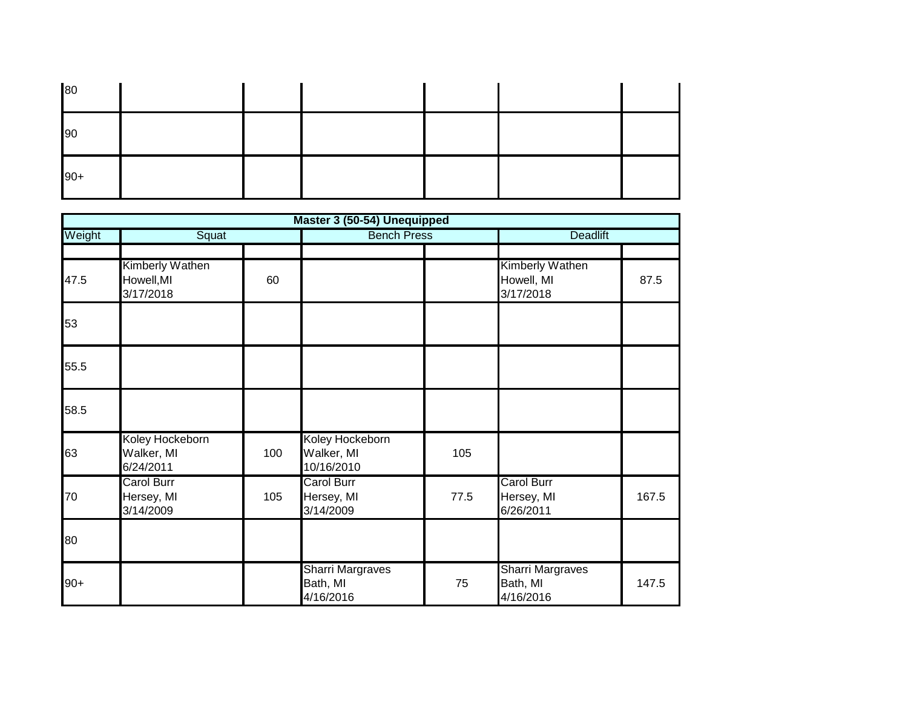| 80    |  |  |  |  |
|-------|--|--|--|--|
| 90    |  |  |  |  |
| $90+$ |  |  |  |  |

|        |                                              |     | Master 3 (50-54) Unequipped                      |      |                                                   |                 |  |
|--------|----------------------------------------------|-----|--------------------------------------------------|------|---------------------------------------------------|-----------------|--|
| Weight | Squat                                        |     | <b>Bench Press</b>                               |      |                                                   | <b>Deadlift</b> |  |
| 47.5   | Kimberly Wathen<br>Howell, MI<br>3/17/2018   | 60  |                                                  |      | <b>Kimberly Wathen</b><br>Howell, MI<br>3/17/2018 | 87.5            |  |
| 53     |                                              |     |                                                  |      |                                                   |                 |  |
| 55.5   |                                              |     |                                                  |      |                                                   |                 |  |
| 58.5   |                                              |     |                                                  |      |                                                   |                 |  |
| 63     | Koley Hockeborn<br>Walker, MI<br>6/24/2011   | 100 | Koley Hockeborn<br>Walker, MI<br>10/16/2010      | 105  |                                                   |                 |  |
| 70     | <b>Carol Burr</b><br>Hersey, MI<br>3/14/2009 | 105 | <b>Carol Burr</b><br>Hersey, MI<br>3/14/2009     | 77.5 | <b>Carol Burr</b><br>Hersey, MI<br>6/26/2011      | 167.5           |  |
| 80     |                                              |     |                                                  |      |                                                   |                 |  |
| $90+$  |                                              |     | <b>Sharri Margraves</b><br>Bath, MI<br>4/16/2016 | 75   | <b>Sharri Margraves</b><br>Bath, MI<br>4/16/2016  | 147.5           |  |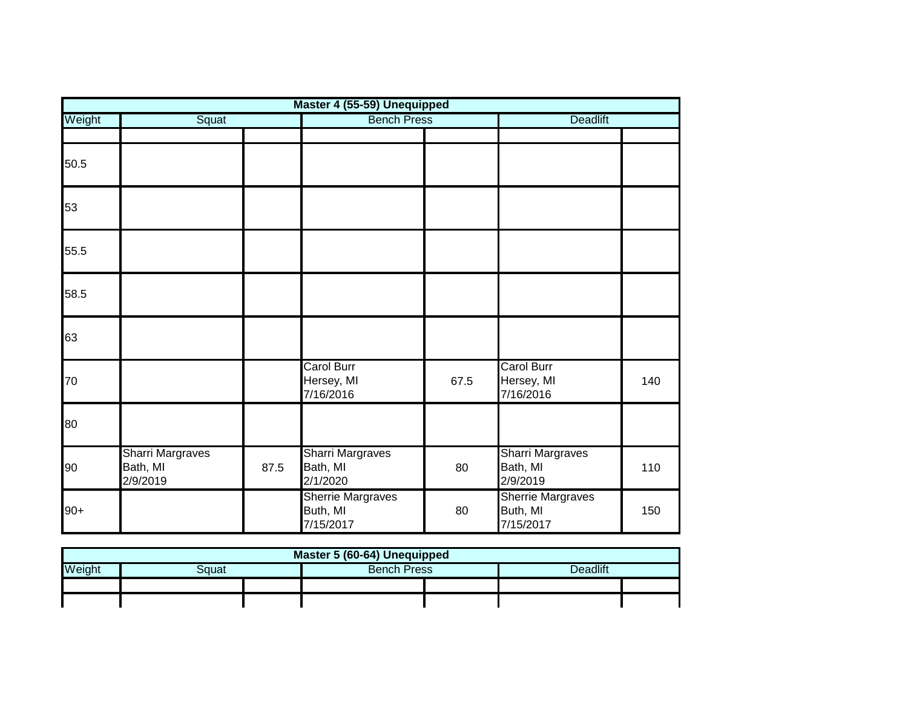|        |                                                 |      | Master 4 (55-59) Unequipped                       |      |                                                   |     |
|--------|-------------------------------------------------|------|---------------------------------------------------|------|---------------------------------------------------|-----|
| Weight | Squat                                           |      | <b>Bench Press</b>                                |      | <b>Deadlift</b>                                   |     |
|        |                                                 |      |                                                   |      |                                                   |     |
| 50.5   |                                                 |      |                                                   |      |                                                   |     |
| 53     |                                                 |      |                                                   |      |                                                   |     |
| 55.5   |                                                 |      |                                                   |      |                                                   |     |
| 58.5   |                                                 |      |                                                   |      |                                                   |     |
| 63     |                                                 |      |                                                   |      |                                                   |     |
| 70     |                                                 |      | <b>Carol Burr</b><br>Hersey, MI<br>7/16/2016      | 67.5 | Carol Burr<br>Hersey, MI<br>7/16/2016             | 140 |
| 80     |                                                 |      |                                                   |      |                                                   |     |
| 90     | <b>Sharri Margraves</b><br>Bath, MI<br>2/9/2019 | 87.5 | <b>Sharri Margraves</b><br>Bath, MI<br>2/1/2020   | 80   | <b>Sharri Margraves</b><br>Bath, MI<br>2/9/2019   | 110 |
| $90+$  |                                                 |      | <b>Sherrie Margraves</b><br>Buth, MI<br>7/15/2017 | 80   | <b>Sherrie Margraves</b><br>Buth, MI<br>7/15/2017 | 150 |

| Master 5 (60-64) Unequipped                       |  |  |  |  |  |  |  |  |  |  |  |  |  |
|---------------------------------------------------|--|--|--|--|--|--|--|--|--|--|--|--|--|
| Weight<br>Deadlift<br><b>Bench Press</b><br>}αuat |  |  |  |  |  |  |  |  |  |  |  |  |  |
|                                                   |  |  |  |  |  |  |  |  |  |  |  |  |  |
|                                                   |  |  |  |  |  |  |  |  |  |  |  |  |  |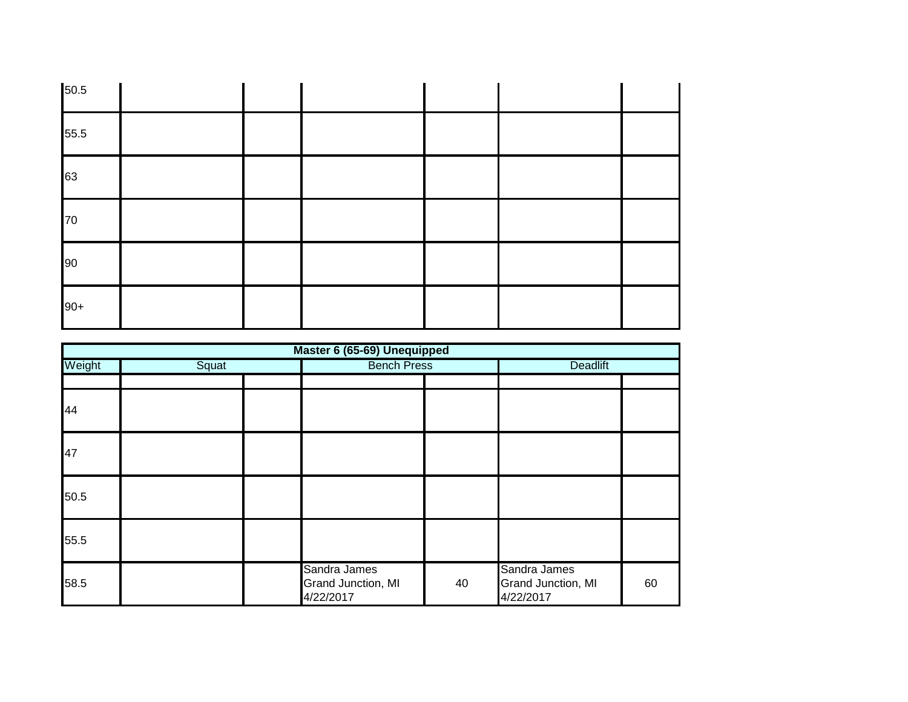| 50.5  |  |  |  |
|-------|--|--|--|
| 55.5  |  |  |  |
| 63    |  |  |  |
| 70    |  |  |  |
| 90    |  |  |  |
| $90+$ |  |  |  |

|        | Master 6 (65-69) Unequipped |  |                                                 |                    |                                                 |                 |  |  |  |
|--------|-----------------------------|--|-------------------------------------------------|--------------------|-------------------------------------------------|-----------------|--|--|--|
| Weight | Squat                       |  |                                                 | <b>Bench Press</b> |                                                 | <b>Deadlift</b> |  |  |  |
|        |                             |  |                                                 |                    |                                                 |                 |  |  |  |
| 44     |                             |  |                                                 |                    |                                                 |                 |  |  |  |
| 47     |                             |  |                                                 |                    |                                                 |                 |  |  |  |
| 50.5   |                             |  |                                                 |                    |                                                 |                 |  |  |  |
| 55.5   |                             |  |                                                 |                    |                                                 |                 |  |  |  |
| 58.5   |                             |  | Sandra James<br>Grand Junction, MI<br>4/22/2017 | 40                 | Sandra James<br>Grand Junction, MI<br>4/22/2017 | 60              |  |  |  |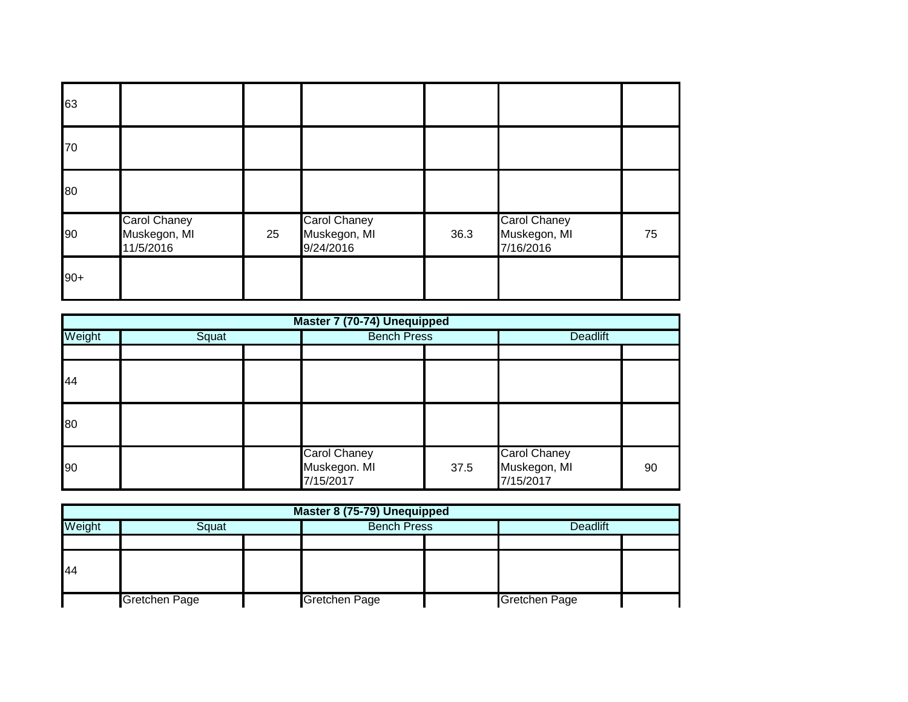| 63    |                                                  |    |                                                  |      |                                                  |    |
|-------|--------------------------------------------------|----|--------------------------------------------------|------|--------------------------------------------------|----|
| 70    |                                                  |    |                                                  |      |                                                  |    |
| 80    |                                                  |    |                                                  |      |                                                  |    |
| 90    | <b>Carol Chaney</b><br>Muskegon, MI<br>11/5/2016 | 25 | <b>Carol Chaney</b><br>Muskegon, MI<br>9/24/2016 | 36.3 | <b>Carol Chaney</b><br>Muskegon, MI<br>7/16/2016 | 75 |
| $90+$ |                                                  |    |                                                  |      |                                                  |    |

|        | Master 7 (70-74) Unequipped |  |                                                  |      |                                                  |    |  |  |  |
|--------|-----------------------------|--|--------------------------------------------------|------|--------------------------------------------------|----|--|--|--|
| Weight | Squat                       |  | <b>Bench Press</b>                               |      | <b>Deadlift</b>                                  |    |  |  |  |
|        |                             |  |                                                  |      |                                                  |    |  |  |  |
| 44     |                             |  |                                                  |      |                                                  |    |  |  |  |
| 80     |                             |  |                                                  |      |                                                  |    |  |  |  |
| 90     |                             |  | <b>Carol Chaney</b><br>Muskegon. MI<br>7/15/2017 | 37.5 | <b>Carol Chaney</b><br>Muskegon, MI<br>7/15/2017 | 90 |  |  |  |

| Master 8 (75-79) Unequipped |               |  |                    |  |                      |  |  |  |
|-----------------------------|---------------|--|--------------------|--|----------------------|--|--|--|
| Weight                      | Squat         |  | <b>Bench Press</b> |  | <b>Deadlift</b>      |  |  |  |
|                             |               |  |                    |  |                      |  |  |  |
| 44                          |               |  |                    |  |                      |  |  |  |
|                             | Gretchen Page |  | Gretchen Page      |  | <b>Gretchen Page</b> |  |  |  |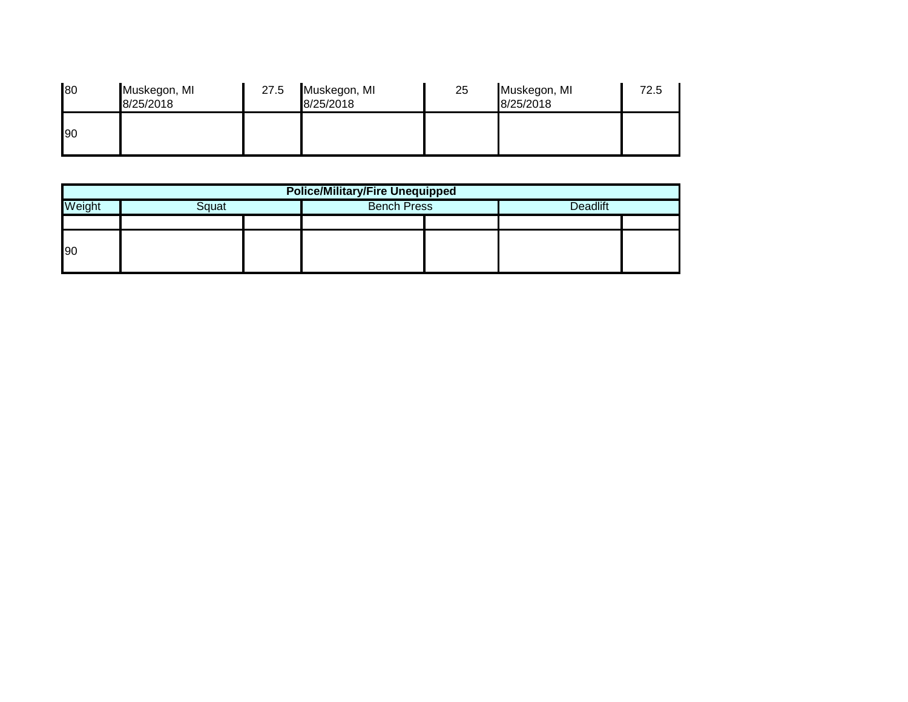| 80 | Muskegon, MI<br>8/25/2018 | 27.5 | Muskegon, MI<br>8/25/2018 | 25 | Muskegon, MI<br>8/25/2018 | 72.5 |
|----|---------------------------|------|---------------------------|----|---------------------------|------|
| 90 |                           |      |                           |    |                           |      |

| <b>Police/Military/Fire Unequipped</b>                   |  |  |  |  |  |  |  |  |
|----------------------------------------------------------|--|--|--|--|--|--|--|--|
| <b>Bench Press</b><br><b>Deadlift</b><br>Weight<br>Squat |  |  |  |  |  |  |  |  |
|                                                          |  |  |  |  |  |  |  |  |
| 190                                                      |  |  |  |  |  |  |  |  |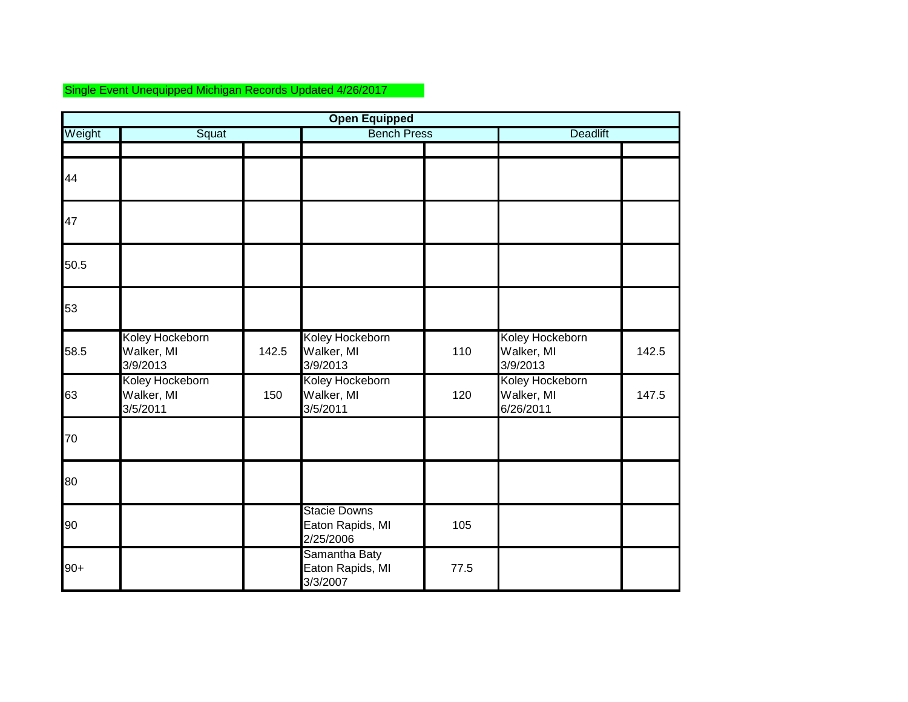## Single Event Unequipped Michigan Records Updated 4/26/2017

|        |                                           |       | <b>Open Equipped</b>                                 |                    |                                            |       |
|--------|-------------------------------------------|-------|------------------------------------------------------|--------------------|--------------------------------------------|-------|
| Weight | Squat                                     |       |                                                      | <b>Bench Press</b> |                                            |       |
| 44     |                                           |       |                                                      |                    |                                            |       |
| 47     |                                           |       |                                                      |                    |                                            |       |
| 50.5   |                                           |       |                                                      |                    |                                            |       |
| 53     |                                           |       |                                                      |                    |                                            |       |
| 58.5   | Koley Hockeborn<br>Walker, MI<br>3/9/2013 | 142.5 | Koley Hockeborn<br>Walker, MI<br>3/9/2013            | 110                | Koley Hockeborn<br>Walker, MI<br>3/9/2013  | 142.5 |
| 63     | Koley Hockeborn<br>Walker, MI<br>3/5/2011 | 150   | Koley Hockeborn<br>Walker, MI<br>3/5/2011            | 120                | Koley Hockeborn<br>Walker, MI<br>6/26/2011 | 147.5 |
| 70     |                                           |       |                                                      |                    |                                            |       |
| 80     |                                           |       |                                                      |                    |                                            |       |
| 90     |                                           |       | <b>Stacie Downs</b><br>Eaton Rapids, MI<br>2/25/2006 | 105                |                                            |       |
| $90+$  |                                           |       | Samantha Baty<br>Eaton Rapids, MI<br>3/3/2007        | 77.5               |                                            |       |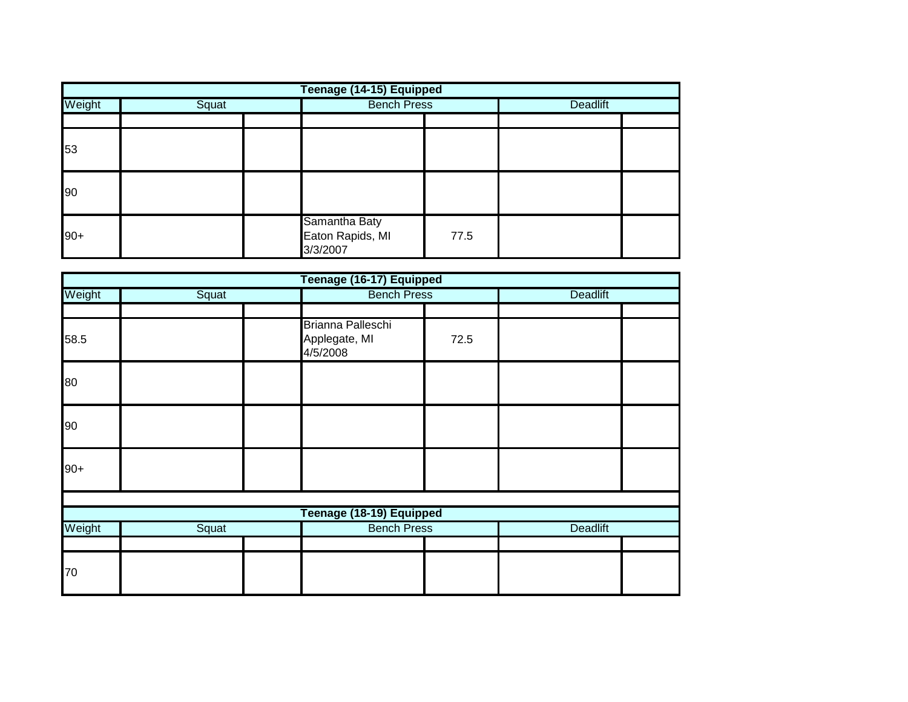|                 | Teenage (14-15) Equipped |  |                                               |      |                 |  |  |  |  |
|-----------------|--------------------------|--|-----------------------------------------------|------|-----------------|--|--|--|--|
| Weight<br>Squat |                          |  | <b>Bench Press</b>                            |      | <b>Deadlift</b> |  |  |  |  |
|                 |                          |  |                                               |      |                 |  |  |  |  |
| 53              |                          |  |                                               |      |                 |  |  |  |  |
| 90              |                          |  |                                               |      |                 |  |  |  |  |
| $90+$           |                          |  | Samantha Baty<br>Eaton Rapids, MI<br>3/3/2007 | 77.5 |                 |  |  |  |  |

|        |       | Teenage (16-17) Equipped                       |      |                 |  |
|--------|-------|------------------------------------------------|------|-----------------|--|
| Weight | Squat | <b>Bench Press</b>                             |      | Deadlift        |  |
| 58.5   |       | Brianna Palleschi<br>Applegate, MI<br>4/5/2008 | 72.5 |                 |  |
| 80     |       |                                                |      |                 |  |
| 90     |       |                                                |      |                 |  |
| $90+$  |       |                                                |      |                 |  |
|        |       |                                                |      |                 |  |
|        |       | Teenage (18-19) Equipped                       |      |                 |  |
| Weight | Squat | <b>Bench Press</b>                             |      | <b>Deadlift</b> |  |
|        |       |                                                |      |                 |  |
| 70     |       |                                                |      |                 |  |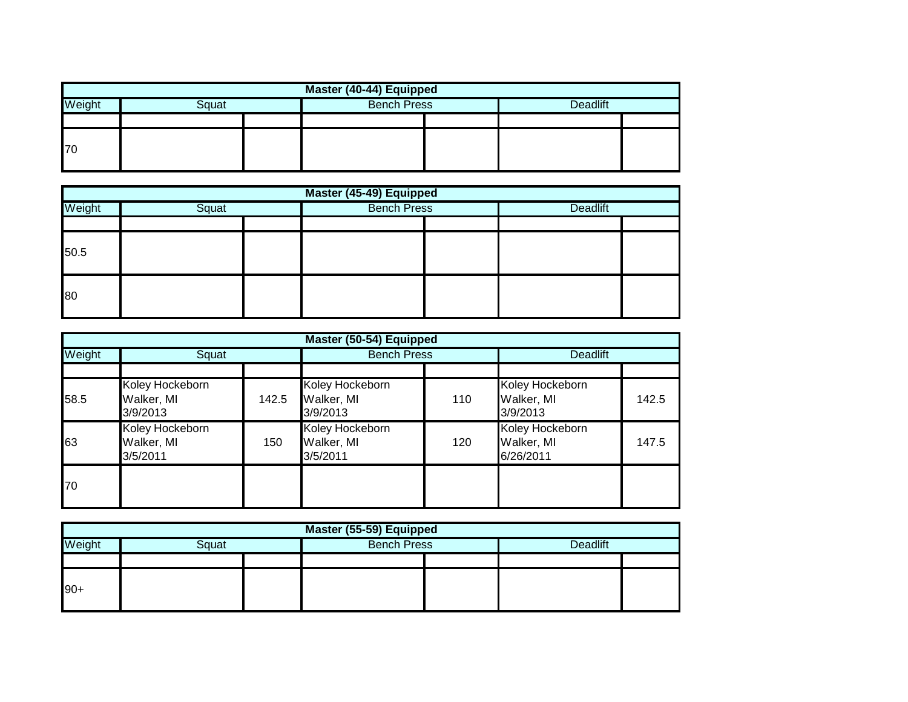| Master (40-44) Equipped                                  |  |  |  |  |  |  |  |  |
|----------------------------------------------------------|--|--|--|--|--|--|--|--|
| Weight<br><b>Bench Press</b><br><b>Deadlift</b><br>Squat |  |  |  |  |  |  |  |  |
|                                                          |  |  |  |  |  |  |  |  |
| 70                                                       |  |  |  |  |  |  |  |  |

| Master (45-49) Equipped |       |  |                    |  |                 |  |  |  |  |
|-------------------------|-------|--|--------------------|--|-----------------|--|--|--|--|
| Weight                  | Squat |  | <b>Bench Press</b> |  | <b>Deadlift</b> |  |  |  |  |
|                         |       |  |                    |  |                 |  |  |  |  |
| 50.5                    |       |  |                    |  |                 |  |  |  |  |
| 80                      |       |  |                    |  |                 |  |  |  |  |

| Master (50-54) Equipped |                                           |       |                                           |     |                                            |       |  |
|-------------------------|-------------------------------------------|-------|-------------------------------------------|-----|--------------------------------------------|-------|--|
| Weight                  | Squat                                     |       | <b>Bench Press</b>                        |     | <b>Deadlift</b>                            |       |  |
|                         |                                           |       |                                           |     |                                            |       |  |
| 58.5                    | Koley Hockeborn<br>Walker, MI<br>3/9/2013 | 142.5 | Koley Hockeborn<br>Walker, MI<br>3/9/2013 | 110 | Koley Hockeborn<br>Walker, MI<br>3/9/2013  | 142.5 |  |
| 63                      | Koley Hockeborn<br>Walker, MI<br>3/5/2011 | 150   | Koley Hockeborn<br>Walker, MI<br>3/5/2011 | 120 | Koley Hockeborn<br>Walker, MI<br>6/26/2011 | 147.5 |  |
| 170                     |                                           |       |                                           |     |                                            |       |  |

| Master (55-59) Equipped |       |  |                    |  |                 |  |  |
|-------------------------|-------|--|--------------------|--|-----------------|--|--|
| Weight                  | Squat |  | <b>Bench Press</b> |  | <b>Deadlift</b> |  |  |
|                         |       |  |                    |  |                 |  |  |
| $90+$                   |       |  |                    |  |                 |  |  |